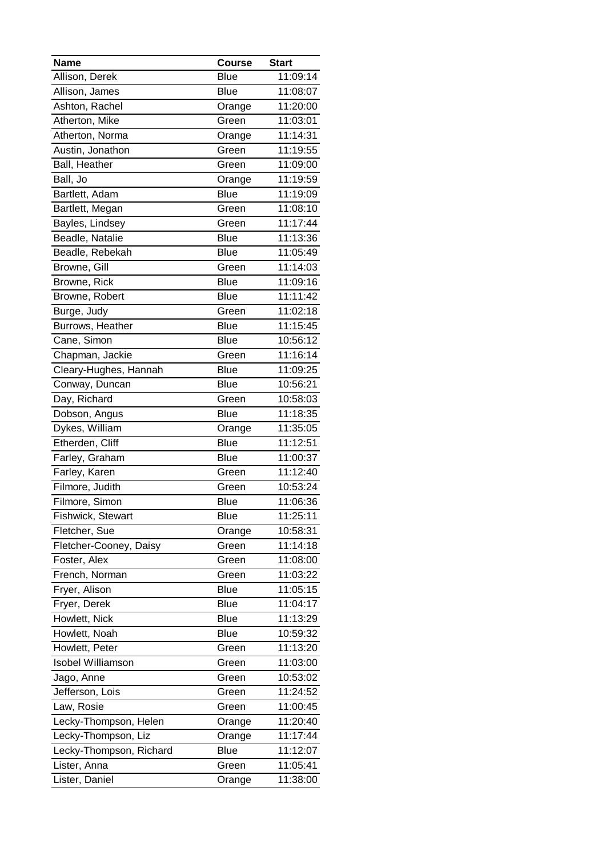| <b>Name</b>              | <b>Course</b> | <b>Start</b> |
|--------------------------|---------------|--------------|
| Allison, Derek           | Blue          | 11:09:14     |
| Allison, James           | <b>Blue</b>   | 11:08:07     |
| Ashton, Rachel           | Orange        | 11:20:00     |
| Atherton, Mike           | Green         | 11:03:01     |
| Atherton, Norma          | Orange        | 11:14:31     |
| Austin, Jonathon         | Green         | 11:19:55     |
| Ball, Heather            | Green         | 11:09:00     |
| Ball, Jo                 | Orange        | 11:19:59     |
| Bartlett, Adam           | Blue          | 11:19:09     |
| Bartlett, Megan          | Green         | 11:08:10     |
| Bayles, Lindsey          | Green         | 11:17:44     |
| Beadle, Natalie          | Blue          | 11:13:36     |
| Beadle, Rebekah          | <b>Blue</b>   | 11:05:49     |
| Browne, Gill             | Green         | 11:14:03     |
| Browne, Rick             | <b>Blue</b>   | 11:09:16     |
| Browne, Robert           | Blue          | 11:11:42     |
| Burge, Judy              | Green         | 11:02:18     |
| Burrows, Heather         | <b>Blue</b>   | 11:15:45     |
| Cane, Simon              | Blue          | 10:56:12     |
| Chapman, Jackie          | Green         | 11:16:14     |
| Cleary-Hughes, Hannah    | Blue          | 11:09:25     |
| Conway, Duncan           | Blue          | 10:56:21     |
| Day, Richard             | Green         | 10:58:03     |
| Dobson, Angus            | <b>Blue</b>   | 11:18:35     |
| Dykes, William           | Orange        | 11:35:05     |
| Etherden, Cliff          | Blue          | 11:12:51     |
| Farley, Graham           | <b>Blue</b>   | 11:00:37     |
| Farley, Karen            | Green         | 11:12:40     |
| Filmore, Judith          | Green         | 10:53:24     |
| Filmore, Simon           | <b>Blue</b>   | 11:06:36     |
| Fishwick, Stewart        | <b>Blue</b>   | 11:25:11     |
| Fletcher, Sue            | Orange        | 10:58:31     |
| Fletcher-Cooney, Daisy   | Green         | 11:14:18     |
| Foster, Alex             | Green         | 11:08:00     |
| French, Norman           | Green         | 11:03:22     |
| Fryer, Alison            | <b>Blue</b>   | 11:05:15     |
| Fryer, Derek             | <b>Blue</b>   | 11:04:17     |
| Howlett, Nick            | <b>Blue</b>   | 11:13:29     |
| Howlett, Noah            | <b>Blue</b>   | 10:59:32     |
| Howlett, Peter           | Green         | 11:13:20     |
| <b>Isobel Williamson</b> | Green         | 11:03:00     |
| Jago, Anne               | Green         | 10:53:02     |
| Jefferson, Lois          | Green         | 11:24:52     |
| Law, Rosie               | Green         | 11:00:45     |
| Lecky-Thompson, Helen    | Orange        | 11:20:40     |
| Lecky-Thompson, Liz      | Orange        | 11:17:44     |
| Lecky-Thompson, Richard  | Blue          | 11:12:07     |
| Lister, Anna             | Green         | 11:05:41     |
| Lister, Daniel           | Orange        | 11:38:00     |